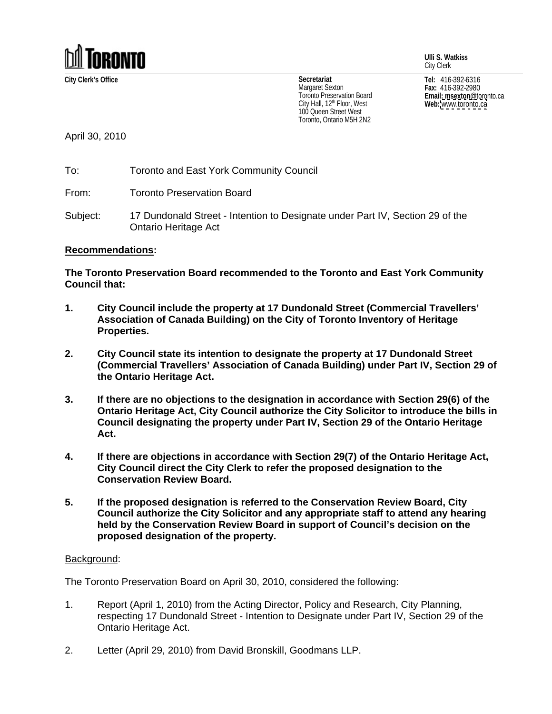

**Ulli S. Watkiss** City Clerk

100 Queen Street West Toronto, Ontario M5H 2N2

**City Clerk's Office Tel:** 416-392-6316 **Fax:** 416-392-2980 **Email: msexton**@toronto.ca **Web:** [www.toronto.ca](http://www.toronto.ca) **Secretariat** Margaret Sexton  $_{max:416-392-2980}$ I oronto Preservation Board **Example 2018 Email: msexton** @toronto.ca City Hall, 12<sup>th</sup> Floor, West **Web:** www.toronto.ca

April 30, 2010

To: Toronto and East York Community Council

From: Toronto Preservation Board

Subject: 17 Dundonald Street - Intention to Designate under Part IV, Section 29 of the Ontario Heritage Act

## **Recommendations:**

**The Toronto Preservation Board recommended to the Toronto and East York Community Council that:**

- **1. City Council include the property at 17 Dundonald Street (Commercial Travellers' Association of Canada Building) on the City of Toronto Inventory of Heritage Properties.**
- **2. City Council state its intention to designate the property at 17 Dundonald Street (Commercial Travellers' Association of Canada Building) under Part IV, Section 29 of the Ontario Heritage Act.**
- **3. If there are no objections to the designation in accordance with Section 29(6) of the Ontario Heritage Act, City Council authorize the City Solicitor to introduce the bills in Council designating the property under Part IV, Section 29 of the Ontario Heritage Act.**
- **4. If there are objections in accordance with Section 29(7) of the Ontario Heritage Act, City Council direct the City Clerk to refer the proposed designation to the Conservation Review Board.**
- **5. If the proposed designation is referred to the Conservation Review Board, City Council authorize the City Solicitor and any appropriate staff to attend any hearing held by the Conservation Review Board in support of Council's decision on the proposed designation of the property.**

## Background: with a state of the state of the state of the state of the state of the state of the state of the state of the state of the state of the state of the state of the state of the state of the state of the state of

The Toronto Preservation Board on April 30, 2010, considered the following:

- 1. Report (April 1, 2010) from the Acting Director, Policy and Research, City Planning, respecting 17 Dundonald Street - Intention to Designate under Part IV, Section 29 of the Ontario Heritage Act.
- 2. Letter (April 29, 2010) from David Bronskill, Goodmans LLP.